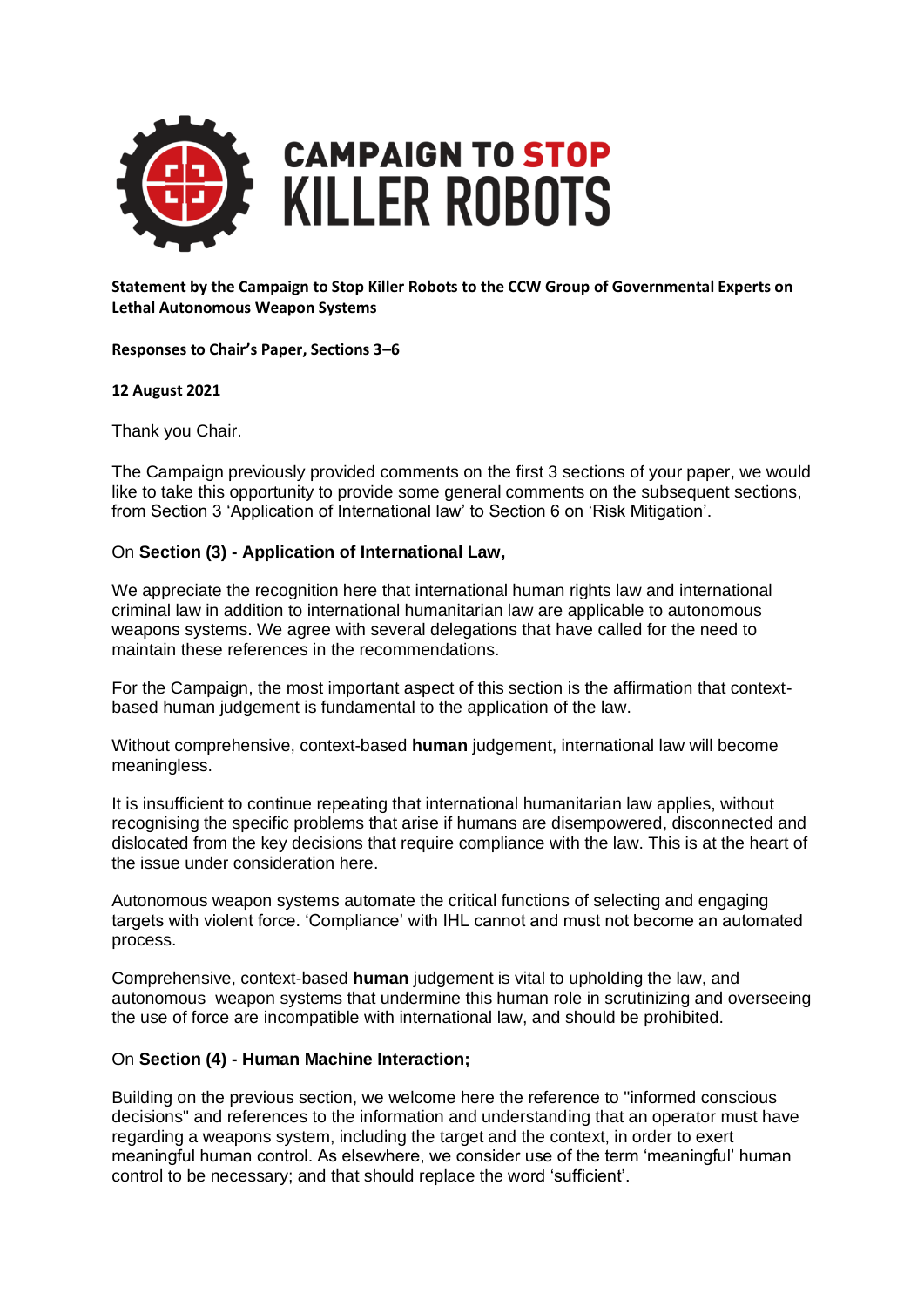

#### **Statement by the Campaign to Stop Killer Robots to the CCW Group of Governmental Experts on Lethal Autonomous Weapon Systems**

**Responses to Chair's Paper, Sections 3–6**

#### **12 August 2021**

Thank you Chair.

The Campaign previously provided comments on the first 3 sections of your paper, we would like to take this opportunity to provide some general comments on the subsequent sections, from Section 3 'Application of International law' to Section 6 on 'Risk Mitigation'.

## On **Section (3) - Application of International Law,**

We appreciate the recognition here that international human rights law and international criminal law in addition to international humanitarian law are applicable to autonomous weapons systems. We agree with several delegations that have called for the need to maintain these references in the recommendations.

For the Campaign, the most important aspect of this section is the affirmation that contextbased human judgement is fundamental to the application of the law.

Without comprehensive, context-based **human** judgement, international law will become meaningless.

It is insufficient to continue repeating that international humanitarian law applies, without recognising the specific problems that arise if humans are disempowered, disconnected and dislocated from the key decisions that require compliance with the law. This is at the heart of the issue under consideration here.

Autonomous weapon systems automate the critical functions of selecting and engaging targets with violent force. 'Compliance' with IHL cannot and must not become an automated process.

Comprehensive, context-based **human** judgement is vital to upholding the law, and autonomous weapon systems that undermine this human role in scrutinizing and overseeing the use of force are incompatible with international law, and should be prohibited.

## On **Section (4) - Human Machine Interaction;**

Building on the previous section, we welcome here the reference to "informed conscious decisions" and references to the information and understanding that an operator must have regarding a weapons system, including the target and the context, in order to exert meaningful human control. As elsewhere, we consider use of the term 'meaningful' human control to be necessary; and that should replace the word 'sufficient'.